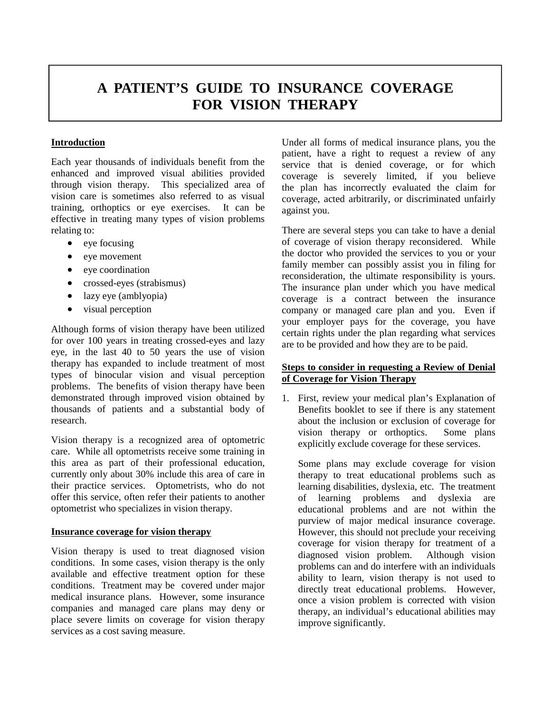## **A PATIENT'S GUIDE TO INSURANCE COVERAGE FOR VISION THERAPY**

## **Introduction**

Each year thousands of individuals benefit from the enhanced and improved visual abilities provided through vision therapy. This specialized area of vision care is sometimes also referred to as visual training, orthoptics or eye exercises. It can be effective in treating many types of vision problems relating to:

- eye focusing
- eye movement
- eye coordination
- crossed-eyes (strabismus)
- lazy eye (amblyopia)
- visual perception

Although forms of vision therapy have been utilized for over 100 years in treating crossed-eyes and lazy eye, in the last 40 to 50 years the use of vision therapy has expanded to include treatment of most types of binocular vision and visual perception problems. The benefits of vision therapy have been demonstrated through improved vision obtained by thousands of patients and a substantial body of research.

Vision therapy is a recognized area of optometric care. While all optometrists receive some training in this area as part of their professional education, currently only about 30% include this area of care in their practice services. Optometrists, who do not offer this service, often refer their patients to another optometrist who specializes in vision therapy.

## **Insurance coverage for vision therapy**

Vision therapy is used to treat diagnosed vision conditions. In some cases, vision therapy is the only available and effective treatment option for these conditions. Treatment may be covered under major medical insurance plans. However, some insurance companies and managed care plans may deny or place severe limits on coverage for vision therapy services as a cost saving measure.

Under all forms of medical insurance plans, you the patient, have a right to request a review of any service that is denied coverage, or for which coverage is severely limited, if you believe the plan has incorrectly evaluated the claim for coverage, acted arbitrarily, or discriminated unfairly against you.

There are several steps you can take to have a denial of coverage of vision therapy reconsidered. While the doctor who provided the services to you or your family member can possibly assist you in filing for reconsideration, the ultimate responsibility is yours. The insurance plan under which you have medical coverage is a contract between the insurance company or managed care plan and you. Even if your employer pays for the coverage, you have certain rights under the plan regarding what services are to be provided and how they are to be paid.

## **Steps to consider in requesting a Review of Denial of Coverage for Vision Therapy**

1. First, review your medical plan's Explanation of Benefits booklet to see if there is any statement about the inclusion or exclusion of coverage for vision therapy or orthoptics. Some plans explicitly exclude coverage for these services.

Some plans may exclude coverage for vision therapy to treat educational problems such as learning disabilities, dyslexia, etc. The treatment of learning problems and dyslexia are educational problems and are not within the purview of major medical insurance coverage. However, this should not preclude your receiving coverage for vision therapy for treatment of a diagnosed vision problem. Although vision problems can and do interfere with an individuals ability to learn, vision therapy is not used to directly treat educational problems. However, once a vision problem is corrected with vision therapy, an individual's educational abilities may improve significantly.